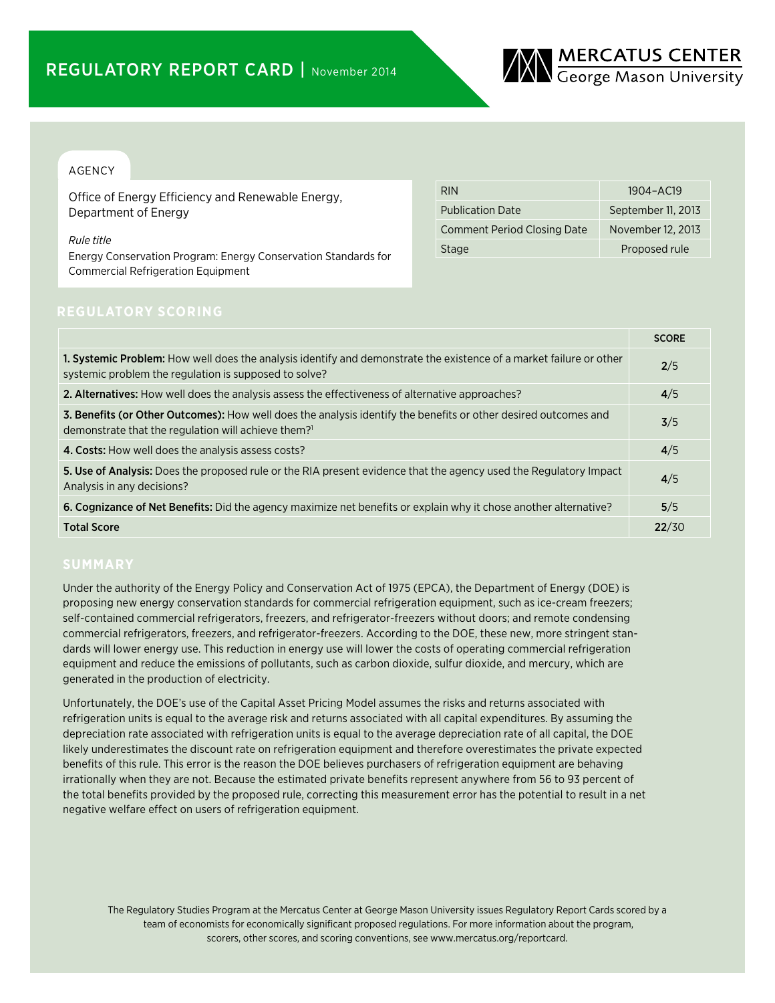

## AGENCY

Office of Energy Efficiency and Renewable Energy, Department of Energy

*Rule title*

Energy Conservation Program: Energy Conservation Standards for Commercial Refrigeration Equipment

| <b>RIN</b>                         | 1904-AC19          |
|------------------------------------|--------------------|
| <b>Publication Date</b>            | September 11, 2013 |
| <b>Comment Period Closing Date</b> | November 12, 2013  |
| <b>Stage</b>                       | Proposed rule      |

|                                                                                                                                                                                    | <b>SCORE</b> |
|------------------------------------------------------------------------------------------------------------------------------------------------------------------------------------|--------------|
| 1. Systemic Problem: How well does the analysis identify and demonstrate the existence of a market failure or other<br>systemic problem the regulation is supposed to solve?       | 2/5          |
| 2. Alternatives: How well does the analysis assess the effectiveness of alternative approaches?                                                                                    | 4/5          |
| 3. Benefits (or Other Outcomes): How well does the analysis identify the benefits or other desired outcomes and<br>demonstrate that the regulation will achieve them? <sup>1</sup> | 3/5          |
| 4. Costs: How well does the analysis assess costs?                                                                                                                                 | 4/5          |
| 5. Use of Analysis: Does the proposed rule or the RIA present evidence that the agency used the Regulatory Impact<br>Analysis in any decisions?                                    | 4/5          |
| 6. Cognizance of Net Benefits: Did the agency maximize net benefits or explain why it chose another alternative?                                                                   | 5/5          |
| <b>Total Score</b>                                                                                                                                                                 | 22/30        |

Under the authority of the Energy Policy and Conservation Act of 1975 (EPCA), the Department of Energy (DOE) is proposing new energy conservation standards for commercial refrigeration equipment, such as ice-cream freezers; self-contained commercial refrigerators, freezers, and refrigerator-freezers without doors; and remote condensing commercial refrigerators, freezers, and refrigerator-freezers. According to the DOE, these new, more stringent standards will lower energy use. This reduction in energy use will lower the costs of operating commercial refrigeration equipment and reduce the emissions of pollutants, such as carbon dioxide, sulfur dioxide, and mercury, which are generated in the production of electricity.

Unfortunately, the DOE's use of the Capital Asset Pricing Model assumes the risks and returns associated with refrigeration units is equal to the average risk and returns associated with all capital expenditures. By assuming the depreciation rate associated with refrigeration units is equal to the average depreciation rate of all capital, the DOE likely underestimates the discount rate on refrigeration equipment and therefore overestimates the private expected benefits of this rule. This error is the reason the DOE believes purchasers of refrigeration equipment are behaving irrationally when they are not. Because the estimated private benefits represent anywhere from 56 to 93 percent of the total benefits provided by the proposed rule, correcting this measurement error has the potential to result in a net negative welfare effect on users of refrigeration equipment.

The Regulatory Studies Program at the Mercatus Center at George Mason University issues Regulatory Report Cards scored by a team of economists for economically significant proposed regulations. For more information about the program, scorers, other scores, and scoring conventions, see www.mercatus.org/reportcard.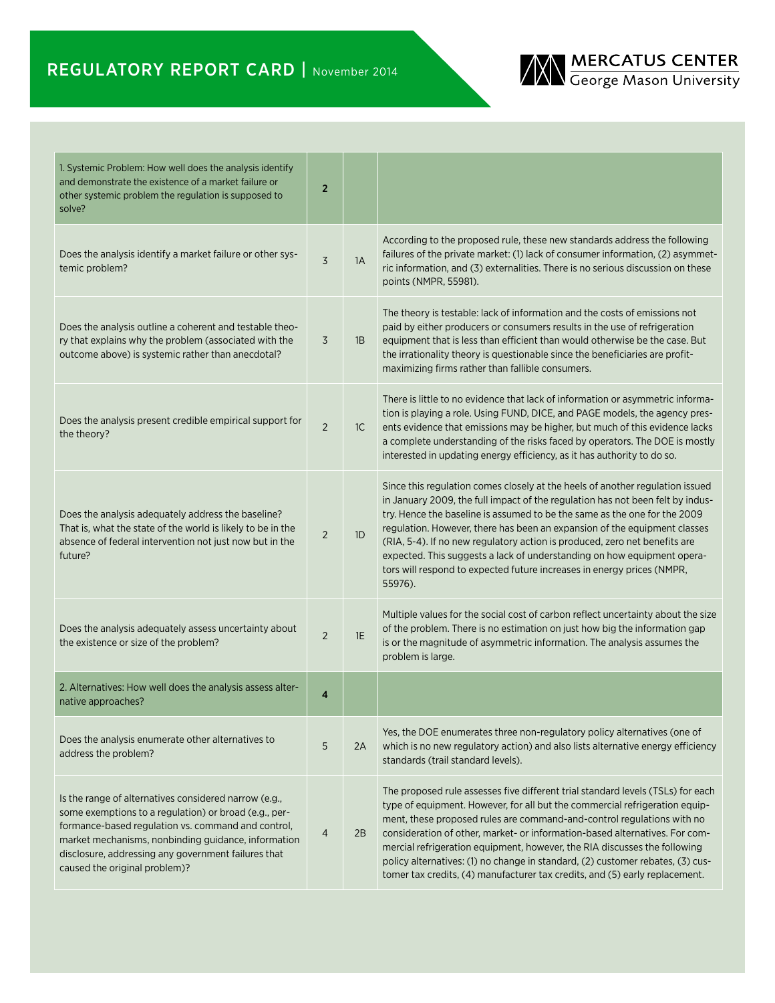# REGULATORY REPORT CARD | November 2014



| 1. Systemic Problem: How well does the analysis identify<br>and demonstrate the existence of a market failure or<br>other systemic problem the regulation is supposed to<br>solve?                                                                                                                                  | $\overline{2}$ |    |                                                                                                                                                                                                                                                                                                                                                                                                                                                                                                                                                                         |
|---------------------------------------------------------------------------------------------------------------------------------------------------------------------------------------------------------------------------------------------------------------------------------------------------------------------|----------------|----|-------------------------------------------------------------------------------------------------------------------------------------------------------------------------------------------------------------------------------------------------------------------------------------------------------------------------------------------------------------------------------------------------------------------------------------------------------------------------------------------------------------------------------------------------------------------------|
| Does the analysis identify a market failure or other sys-<br>temic problem?                                                                                                                                                                                                                                         | $\overline{3}$ | 1A | According to the proposed rule, these new standards address the following<br>failures of the private market: (1) lack of consumer information, (2) asymmet-<br>ric information, and (3) externalities. There is no serious discussion on these<br>points (NMPR, 55981).                                                                                                                                                                                                                                                                                                 |
| Does the analysis outline a coherent and testable theo-<br>ry that explains why the problem (associated with the<br>outcome above) is systemic rather than anecdotal?                                                                                                                                               | 3              | 1B | The theory is testable: lack of information and the costs of emissions not<br>paid by either producers or consumers results in the use of refrigeration<br>equipment that is less than efficient than would otherwise be the case. But<br>the irrationality theory is questionable since the beneficiaries are profit-<br>maximizing firms rather than fallible consumers.                                                                                                                                                                                              |
| Does the analysis present credible empirical support for<br>the theory?                                                                                                                                                                                                                                             | $\overline{2}$ | 1C | There is little to no evidence that lack of information or asymmetric informa-<br>tion is playing a role. Using FUND, DICE, and PAGE models, the agency pres-<br>ents evidence that emissions may be higher, but much of this evidence lacks<br>a complete understanding of the risks faced by operators. The DOE is mostly<br>interested in updating energy efficiency, as it has authority to do so.                                                                                                                                                                  |
| Does the analysis adequately address the baseline?<br>That is, what the state of the world is likely to be in the<br>absence of federal intervention not just now but in the<br>future?                                                                                                                             | $\overline{2}$ | 1D | Since this regulation comes closely at the heels of another regulation issued<br>in January 2009, the full impact of the regulation has not been felt by indus-<br>try. Hence the baseline is assumed to be the same as the one for the 2009<br>regulation. However, there has been an expansion of the equipment classes<br>(RIA, 5-4). If no new regulatory action is produced, zero net benefits are<br>expected. This suggests a lack of understanding on how equipment opera-<br>tors will respond to expected future increases in energy prices (NMPR,<br>55976). |
| Does the analysis adequately assess uncertainty about<br>the existence or size of the problem?                                                                                                                                                                                                                      | $\overline{2}$ | 1E | Multiple values for the social cost of carbon reflect uncertainty about the size<br>of the problem. There is no estimation on just how big the information gap<br>is or the magnitude of asymmetric information. The analysis assumes the<br>problem is large.                                                                                                                                                                                                                                                                                                          |
| 2. Alternatives: How well does the analysis assess alter-<br>native approaches?                                                                                                                                                                                                                                     | 4              |    |                                                                                                                                                                                                                                                                                                                                                                                                                                                                                                                                                                         |
| Does the analysis enumerate other alternatives to<br>address the problem?                                                                                                                                                                                                                                           | 5              | 2A | Yes, the DOE enumerates three non-regulatory policy alternatives (one of<br>which is no new regulatory action) and also lists alternative energy efficiency<br>standards (trail standard levels).                                                                                                                                                                                                                                                                                                                                                                       |
| Is the range of alternatives considered narrow (e.g.,<br>some exemptions to a regulation) or broad (e.g., per-<br>formance-based regulation vs. command and control,<br>market mechanisms, nonbinding guidance, information<br>disclosure, addressing any government failures that<br>caused the original problem)? | $\overline{4}$ | 2B | The proposed rule assesses five different trial standard levels (TSLs) for each<br>type of equipment. However, for all but the commercial refrigeration equip-<br>ment, these proposed rules are command-and-control regulations with no<br>consideration of other, market- or information-based alternatives. For com-<br>mercial refrigeration equipment, however, the RIA discusses the following<br>policy alternatives: (1) no change in standard, (2) customer rebates, (3) cus-<br>tomer tax credits, (4) manufacturer tax credits, and (5) early replacement.   |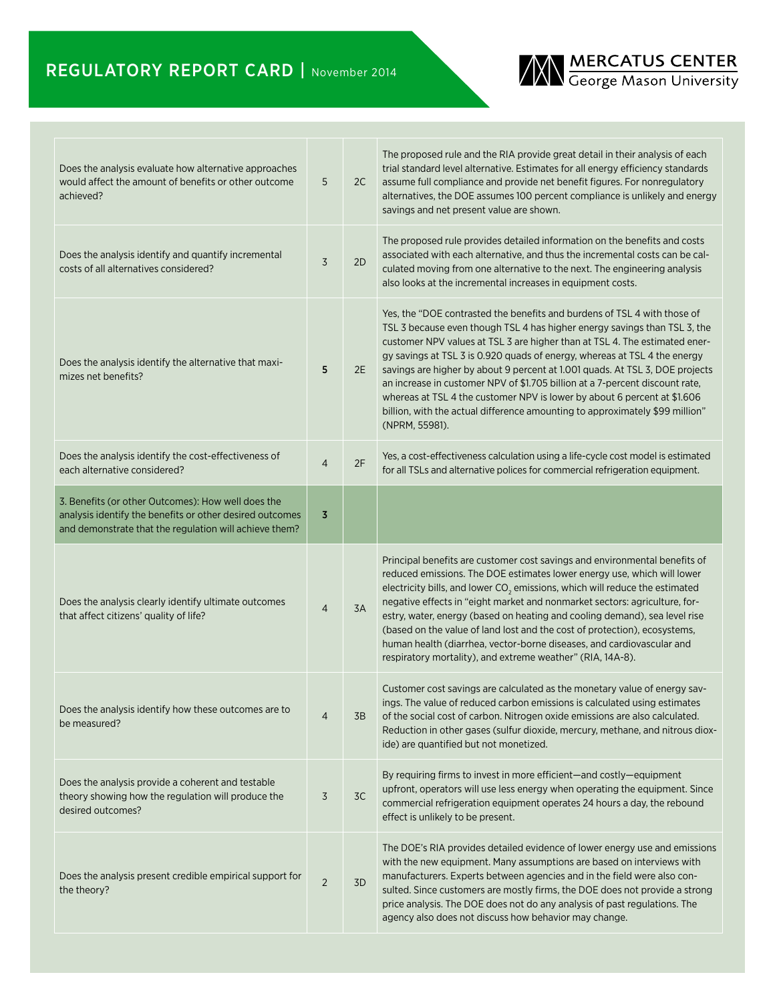# REGULATORY REPORT CARD | November 2014



| Does the analysis evaluate how alternative approaches<br>would affect the amount of benefits or other outcome<br>achieved?                                               | 5              | 2C | The proposed rule and the RIA provide great detail in their analysis of each<br>trial standard level alternative. Estimates for all energy efficiency standards<br>assume full compliance and provide net benefit figures. For nonregulatory<br>alternatives, the DOE assumes 100 percent compliance is unlikely and energy<br>savings and net present value are shown.                                                                                                                                                                                                                                                                                        |
|--------------------------------------------------------------------------------------------------------------------------------------------------------------------------|----------------|----|----------------------------------------------------------------------------------------------------------------------------------------------------------------------------------------------------------------------------------------------------------------------------------------------------------------------------------------------------------------------------------------------------------------------------------------------------------------------------------------------------------------------------------------------------------------------------------------------------------------------------------------------------------------|
| Does the analysis identify and quantify incremental<br>costs of all alternatives considered?                                                                             | 3              | 2D | The proposed rule provides detailed information on the benefits and costs<br>associated with each alternative, and thus the incremental costs can be cal-<br>culated moving from one alternative to the next. The engineering analysis<br>also looks at the incremental increases in equipment costs.                                                                                                                                                                                                                                                                                                                                                          |
| Does the analysis identify the alternative that maxi-<br>mizes net benefits?                                                                                             | 5              | 2E | Yes, the "DOE contrasted the benefits and burdens of TSL 4 with those of<br>TSL 3 because even though TSL 4 has higher energy savings than TSL 3, the<br>customer NPV values at TSL 3 are higher than at TSL 4. The estimated ener-<br>gy savings at TSL 3 is 0.920 quads of energy, whereas at TSL 4 the energy<br>savings are higher by about 9 percent at 1.001 quads. At TSL 3, DOE projects<br>an increase in customer NPV of \$1.705 billion at a 7-percent discount rate,<br>whereas at TSL 4 the customer NPV is lower by about 6 percent at \$1.606<br>billion, with the actual difference amounting to approximately \$99 million"<br>(NPRM, 55981). |
| Does the analysis identify the cost-effectiveness of<br>each alternative considered?                                                                                     | $\overline{4}$ | 2F | Yes, a cost-effectiveness calculation using a life-cycle cost model is estimated<br>for all TSLs and alternative polices for commercial refrigeration equipment.                                                                                                                                                                                                                                                                                                                                                                                                                                                                                               |
| 3. Benefits (or other Outcomes): How well does the<br>analysis identify the benefits or other desired outcomes<br>and demonstrate that the regulation will achieve them? | 3              |    |                                                                                                                                                                                                                                                                                                                                                                                                                                                                                                                                                                                                                                                                |
|                                                                                                                                                                          |                |    |                                                                                                                                                                                                                                                                                                                                                                                                                                                                                                                                                                                                                                                                |
| Does the analysis clearly identify ultimate outcomes<br>that affect citizens' quality of life?                                                                           | 4              | 3A | Principal benefits are customer cost savings and environmental benefits of<br>reduced emissions. The DOE estimates lower energy use, which will lower<br>electricity bills, and lower $CO2$ emissions, which will reduce the estimated<br>negative effects in "eight market and nonmarket sectors: agriculture, for-<br>estry, water, energy (based on heating and cooling demand), sea level rise<br>(based on the value of land lost and the cost of protection), ecosystems,<br>human health (diarrhea, vector-borne diseases, and cardiovascular and<br>respiratory mortality), and extreme weather" (RIA, 14A-8).                                         |
| Does the analysis identify how these outcomes are to<br>be measured?                                                                                                     | $\overline{4}$ | 3B | Customer cost savings are calculated as the monetary value of energy sav-<br>ings. The value of reduced carbon emissions is calculated using estimates<br>of the social cost of carbon. Nitrogen oxide emissions are also calculated.<br>Reduction in other gases (sulfur dioxide, mercury, methane, and nitrous diox-<br>ide) are quantified but not monetized.                                                                                                                                                                                                                                                                                               |
| Does the analysis provide a coherent and testable<br>theory showing how the regulation will produce the<br>desired outcomes?                                             | 3              | 3C | By requiring firms to invest in more efficient-and costly-equipment<br>upfront, operators will use less energy when operating the equipment. Since<br>commercial refrigeration equipment operates 24 hours a day, the rebound<br>effect is unlikely to be present.                                                                                                                                                                                                                                                                                                                                                                                             |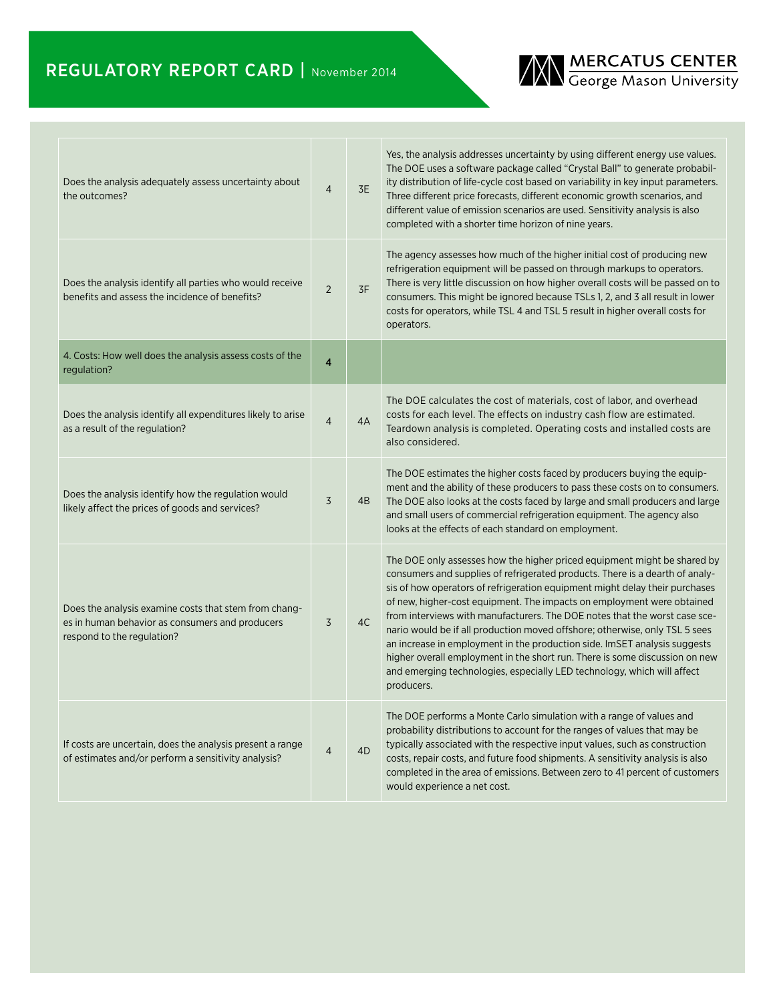

| Does the analysis adequately assess uncertainty about<br>the outcomes?                                                                 | $\overline{4}$          | 3E | Yes, the analysis addresses uncertainty by using different energy use values.<br>The DOE uses a software package called "Crystal Ball" to generate probabil-<br>ity distribution of life-cycle cost based on variability in key input parameters.<br>Three different price forecasts, different economic growth scenarios, and<br>different value of emission scenarios are used. Sensitivity analysis is also<br>completed with a shorter time horizon of nine years.                                                                                                                                                                                                                                                              |
|----------------------------------------------------------------------------------------------------------------------------------------|-------------------------|----|-------------------------------------------------------------------------------------------------------------------------------------------------------------------------------------------------------------------------------------------------------------------------------------------------------------------------------------------------------------------------------------------------------------------------------------------------------------------------------------------------------------------------------------------------------------------------------------------------------------------------------------------------------------------------------------------------------------------------------------|
| Does the analysis identify all parties who would receive<br>benefits and assess the incidence of benefits?                             | $\overline{2}$          | 3F | The agency assesses how much of the higher initial cost of producing new<br>refrigeration equipment will be passed on through markups to operators.<br>There is very little discussion on how higher overall costs will be passed on to<br>consumers. This might be ignored because TSLs 1, 2, and 3 all result in lower<br>costs for operators, while TSL 4 and TSL 5 result in higher overall costs for<br>operators.                                                                                                                                                                                                                                                                                                             |
| 4. Costs: How well does the analysis assess costs of the<br>regulation?                                                                | $\overline{\mathbf{4}}$ |    |                                                                                                                                                                                                                                                                                                                                                                                                                                                                                                                                                                                                                                                                                                                                     |
| Does the analysis identify all expenditures likely to arise<br>as a result of the regulation?                                          | $\overline{4}$          | 4A | The DOE calculates the cost of materials, cost of labor, and overhead<br>costs for each level. The effects on industry cash flow are estimated.<br>Teardown analysis is completed. Operating costs and installed costs are<br>also considered.                                                                                                                                                                                                                                                                                                                                                                                                                                                                                      |
| Does the analysis identify how the regulation would<br>likely affect the prices of goods and services?                                 | $\overline{3}$          | 4B | The DOE estimates the higher costs faced by producers buying the equip-<br>ment and the ability of these producers to pass these costs on to consumers.<br>The DOE also looks at the costs faced by large and small producers and large<br>and small users of commercial refrigeration equipment. The agency also<br>looks at the effects of each standard on employment.                                                                                                                                                                                                                                                                                                                                                           |
| Does the analysis examine costs that stem from chang-<br>es in human behavior as consumers and producers<br>respond to the regulation? | $\overline{3}$          | 4C | The DOE only assesses how the higher priced equipment might be shared by<br>consumers and supplies of refrigerated products. There is a dearth of analy-<br>sis of how operators of refrigeration equipment might delay their purchases<br>of new, higher-cost equipment. The impacts on employment were obtained<br>from interviews with manufacturers. The DOE notes that the worst case sce-<br>nario would be if all production moved offshore; otherwise, only TSL 5 sees<br>an increase in employment in the production side. ImSET analysis suggests<br>higher overall employment in the short run. There is some discussion on new<br>and emerging technologies, especially LED technology, which will affect<br>producers. |
| If costs are uncertain, does the analysis present a range<br>of estimates and/or perform a sensitivity analysis?                       | $\overline{4}$          | 4D | The DOE performs a Monte Carlo simulation with a range of values and<br>probability distributions to account for the ranges of values that may be<br>typically associated with the respective input values, such as construction<br>costs, repair costs, and future food shipments. A sensitivity analysis is also<br>completed in the area of emissions. Between zero to 41 percent of customers<br>would experience a net cost.                                                                                                                                                                                                                                                                                                   |